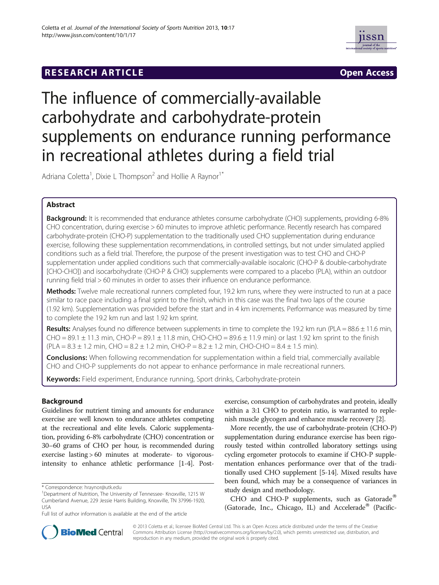## **RESEARCH ARTICLE Example Access 2014 The SEAR CHIPS AND THE Open Access**



# The influence of commercially-available carbohydrate and carbohydrate-protein supplements on endurance running performance in recreational athletes during a field trial

Adriana Coletta<sup>1</sup>, Dixie L Thompson<sup>2</sup> and Hollie A Raynor<sup>1\*</sup>

## Abstract

Background: It is recommended that endurance athletes consume carbohydrate (CHO) supplements, providing 6-8% CHO concentration, during exercise > 60 minutes to improve athletic performance. Recently research has compared carbohydrate-protein (CHO-P) supplementation to the traditionally used CHO supplementation during endurance exercise, following these supplementation recommendations, in controlled settings, but not under simulated applied conditions such as a field trial. Therefore, the purpose of the present investigation was to test CHO and CHO-P supplementation under applied conditions such that commercially-available isocaloric (CHO-P & double-carbohydrate [CHO-CHO]) and isocarbohydrate (CHO-P & CHO) supplements were compared to a placebo (PLA), within an outdoor running field trial > 60 minutes in order to asses their influence on endurance performance.

Methods: Twelve male recreational runners completed four, 19.2 km runs, where they were instructed to run at a pace similar to race pace including a final sprint to the finish, which in this case was the final two laps of the course (1.92 km). Supplementation was provided before the start and in 4 km increments. Performance was measured by time to complete the 19.2 km run and last 1.92 km sprint.

Results: Analyses found no difference between supplements in time to complete the 19.2 km run (PLA =  $88.6 \pm 11.6$  min,  $CHO = 89.1 \pm 11.3$  min,  $CHO-P = 89.1 \pm 11.8$  min,  $CHO-CHO = 89.6 \pm 11.9$  min) or last 1.92 km sprint to the finish  $(PLA = 8.3 \pm 1.2 \text{ min}, CHO = 8.2 \pm 1.2 \text{ min}, CHO-P = 8.2 \pm 1.2 \text{ min}, CHO-CHO = 8.4 \pm 1.5 \text{ min}).$ 

**Conclusions:** When following recommendation for supplementation within a field trial, commercially available CHO and CHO-P supplements do not appear to enhance performance in male recreational runners.

Keywords: Field experiment, Endurance running, Sport drinks, Carbohydrate-protein

## Background

Guidelines for nutrient timing and amounts for endurance exercise are well known to endurance athletes competing at the recreational and elite levels. Caloric supplementation, providing 6-8% carbohydrate (CHO) concentration or 30–60 grams of CHO per hour, is recommended during exercise lasting > 60 minutes at moderate- to vigorousintensity to enhance athletic performance [[1](#page-6-0)-[4\]](#page-6-0). Postexercise, consumption of carbohydrates and protein, ideally within a 3:1 CHO to protein ratio, is warranted to replenish muscle glycogen and enhance muscle recovery [\[2](#page-6-0)].

More recently, the use of carbohydrate-protein (CHO-P) supplementation during endurance exercise has been rigorously tested within controlled laboratory settings using cycling ergometer protocols to examine if CHO-P supplementation enhances performance over that of the traditionally used CHO supplement [\[5-14](#page-6-0)]. Mixed results have been found, which may be a consequence of variances in study design and methodology.

CHO and CHO-P supplements, such as Gatorade® (Gatorade, Inc., Chicago, IL) and Accelerade<sup>®</sup> (Pacific-



© 2013 Coletta et al.; licensee BioMed Central Ltd. This is an Open Access article distributed under the terms of the Creative Commons Attribution License [\(http://creativecommons.org/licenses/by/2.0\)](http://creativecommons.org/licenses/by/2.0), which permits unrestricted use, distribution, and reproduction in any medium, provided the original work is properly cited.

<sup>\*</sup> Correspondence: [hraynor@utk.edu](mailto:hraynor@utk.edu) <sup>1</sup>

<sup>&</sup>lt;sup>1</sup>Department of Nutrition, The University of Tennessee- Knoxville, 1215 W Cumberland Avenue, 229 Jessie Harris Building, Knoxville, TN 37996-1920, USA

Full list of author information is available at the end of the article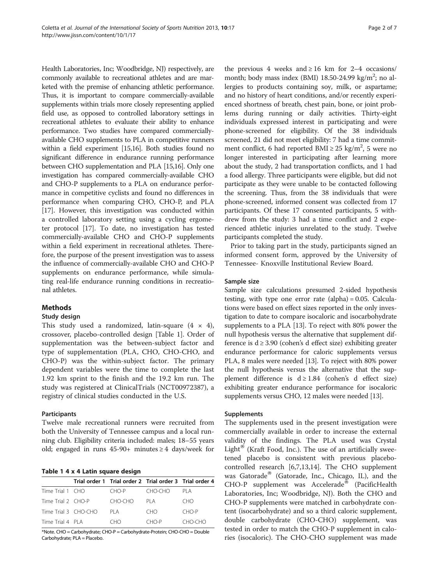Health Laboratories, Inc; Woodbridge, NJ) respectively, are commonly available to recreational athletes and are marketed with the premise of enhancing athletic performance. Thus, it is important to compare commercially-available supplements within trials more closely representing applied field use, as opposed to controlled laboratory settings in recreational athletes to evaluate their ability to enhance performance. Two studies have compared commerciallyavailable CHO supplements to PLA in competitive runners within a field experiment [[15,16\]](#page-6-0). Both studies found no significant difference in endurance running performance between CHO supplementation and PLA [\[15,16](#page-6-0)]. Only one investigation has compared commercially-available CHO and CHO-P supplements to a PLA on endurance performance in competitive cyclists and found no differences in performance when comparing CHO, CHO-P, and PLA [[17](#page-6-0)]. However, this investigation was conducted within a controlled laboratory setting using a cycling ergometer protocol [\[17\]](#page-6-0). To date, no investigation has tested commercially-available CHO and CHO-P supplements within a field experiment in recreational athletes. Therefore, the purpose of the present investigation was to assess the influence of commercially-available CHO and CHO-P supplements on endurance performance, while simulating real-life endurance running conditions in recreational athletes.

## Methods

## Study design

This study used a randomized, latin-square  $(4 \times 4)$ , crossover, placebo-controlled design [Table 1]. Order of supplementation was the between-subject factor and type of supplementation (PLA, CHO, CHO-CHO, and CHO-P) was the within-subject factor. The primary dependent variables were the time to complete the last 1.92 km sprint to the finish and the 19.2 km run. The study was registered at ClinicalTrials (NCT00972387), a registry of clinical studies conducted in the U.S.

## Participants

Twelve male recreational runners were recruited from both the University of Tennessee campus and a local running club. Eligibility criteria included: males; 18–55 years old; engaged in runs  $45-90+$  minutes  $\geq 4$  days/week for

|  |  |  | Table 1 4 x 4 Latin square design |  |
|--|--|--|-----------------------------------|--|
|  |  |  |                                   |  |

|                      |  | Trial order 1 Trial order 2 Trial order 3 Trial order 4 |         |         |  |  |  |
|----------------------|--|---------------------------------------------------------|---------|---------|--|--|--|
| Time Trial 1 CHO     |  | CHO-P                                                   | CHO-CHO | PI A    |  |  |  |
| Time Trial 2 CHO-P   |  | CHO-CHO                                                 | PI A    | CHO.    |  |  |  |
| Time Trial 3 CHO-CHO |  | PI A                                                    | CHO.    | CHO-P   |  |  |  |
| Time Trial 4 PLA     |  | CHO                                                     | CHO-P   | CHO-CHO |  |  |  |

\*Note. CHO = Carbohydrate; CHO-P = Carbohydrate-Protein; CHO-CHO = Double Carbohydrate; PLA = Placebo.

the previous 4 weeks and  $\geq 16$  km for 2–4 occasions/ month; body mass index (BMI) 18.50-24.99 kg/m<sup>2</sup>; no allergies to products containing soy, milk, or aspartame; and no history of heart conditions, and/or recently experienced shortness of breath, chest pain, bone, or joint problems during running or daily activities. Thirty-eight individuals expressed interest in participating and were phone-screened for eligibility. Of the 38 individuals screened, 21 did not meet eligibility: 7 had a time commitment conflict, 6 had reported BMI  $\geq$  25 kg/m<sup>2</sup>, 5 were no longer interested in participating after learning more about the study, 2 had transportation conflicts, and 1 had a food allergy. Three participants were eligible, but did not participate as they were unable to be contacted following the screening. Thus, from the 38 individuals that were phone-screened, informed consent was collected from 17 participants. Of these 17 consented participants, 5 withdrew from the study: 3 had a time conflict and 2 experienced athletic injuries unrelated to the study. Twelve participants completed the study.

Prior to taking part in the study, participants signed an informed consent form, approved by the University of Tennessee- Knoxville Institutional Review Board.

## Sample size

Sample size calculations presumed 2-sided hypothesis testing, with type one error rate (alpha) = 0.05. Calculations were based on effect sizes reported in the only investigation to date to compare isocaloric and isocarbohydrate supplements to a PLA [[13](#page-6-0)]. To reject with 80% power the null hypothesis versus the alternative that supplement difference is  $d \geq 3.90$  (cohen's d effect size) exhibiting greater endurance performance for caloric supplements versus PLA, 8 males were needed [\[13](#page-6-0)]. To reject with 80% power the null hypothesis versus the alternative that the supplement difference is  $d \ge 1.84$  (cohen's d effect size) exhibiting greater endurance performance for isocaloric supplements versus CHO, 12 males were needed [\[13](#page-6-0)].

#### Supplements

The supplements used in the present investigation were commercially available in order to increase the external validity of the findings. The PLA used was Crystal  $Light^{\omega}$  (Kraft Food, Inc.). The use of an artificially sweetened placebo is consistent with previous placebocontrolled research [[6,7,13,14\]](#page-6-0). The CHO supplement was Gatorade<sup>®</sup> (Gatorade, Inc., Chicago, IL), and the  $CHO-P$  supplement was Accelerade® (PacificHealth Laboratories, Inc; Woodbridge, NJ). Both the CHO and CHO-P supplements were matched in carbohydrate content (isocarbohydrate) and so a third caloric supplement, double carbohydrate (CHO-CHO) supplement, was tested in order to match the CHO-P supplement in calories (isocaloric). The CHO-CHO supplement was made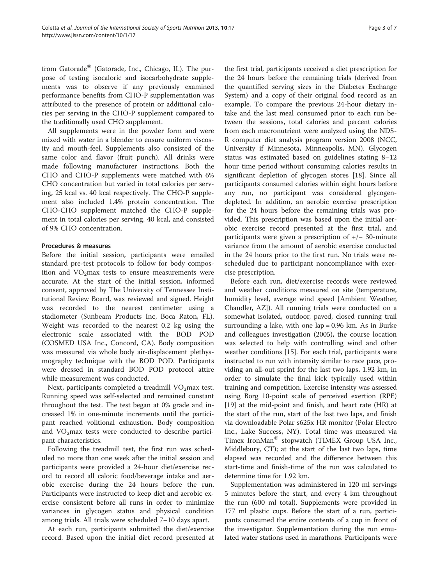from Gatorade® (Gatorade, Inc., Chicago, IL). The purpose of testing isocaloric and isocarbohydrate supplements was to observe if any previously examined performance benefits from CHO-P supplementation was attributed to the presence of protein or additional calories per serving in the CHO-P supplement compared to the traditionally used CHO supplement.

All supplements were in the powder form and were mixed with water in a blender to ensure uniform viscosity and mouth-feel. Supplements also consisted of the same color and flavor (fruit punch). All drinks were made following manufacturer instructions. Both the CHO and CHO-P supplements were matched with 6% CHO concentration but varied in total calories per serving, 25 kcal vs. 40 kcal respectively. The CHO-P supplement also included 1.4% protein concentration. The CHO-CHO supplement matched the CHO-P supplement in total calories per serving, 40 kcal, and consisted of 9% CHO concentration.

## Procedures & measures

Before the initial session, participants were emailed standard pre-test protocols to follow for body composition and  $VO<sub>2</sub>max$  tests to ensure measurements were accurate. At the start of the initial session, informed consent, approved by The University of Tennessee Institutional Review Board, was reviewed and signed. Height was recorded to the nearest centimeter using a stadiometer (Sunbeam Products Inc, Boca Raton, FL). Weight was recorded to the nearest 0.2 kg using the electronic scale associated with the BOD POD (COSMED USA Inc., Concord, CA). Body composition was measured via whole body air-displacement plethysmography technique with the BOD POD. Participants were dressed in standard BOD POD protocol attire while measurement was conducted.

Next, participants completed a treadmill  $VO<sub>2</sub>max$  test. Running speed was self-selected and remained constant throughout the test. The test began at 0% grade and increased 1% in one-minute increments until the participant reached volitional exhaustion. Body composition and  $VO<sub>2</sub>$ max tests were conducted to describe participant characteristics.

Following the treadmill test, the first run was scheduled no more than one week after the initial session and participants were provided a 24-hour diet/exercise record to record all caloric food/beverage intake and aerobic exercise during the 24 hours before the run. Participants were instructed to keep diet and aerobic exercise consistent before all runs in order to minimize variances in glycogen status and physical condition among trials. All trials were scheduled 7–10 days apart.

At each run, participants submitted the diet/exercise record. Based upon the initial diet record presented at the first trial, participants received a diet prescription for the 24 hours before the remaining trials (derived from the quantified serving sizes in the Diabetes Exchange System) and a copy of their original food record as an example. To compare the previous 24-hour dietary intake and the last meal consumed prior to each run between the sessions, total calories and percent calories from each macronutrient were analyzed using the NDS-R computer diet analysis program version 2008 (NCC, University if Minnesota, Minneapolis, MN). Glycogen status was estimated based on guidelines stating 8–12 hour time period without consuming calories results in significant depletion of glycogen stores [[18](#page-6-0)]. Since all participants consumed calories within eight hours before any run, no participant was considered glycogendepleted. In addition, an aerobic exercise prescription for the 24 hours before the remaining trials was provided. This prescription was based upon the initial aerobic exercise record presented at the first trial, and participants were given a prescription of +/− 30-minute variance from the amount of aerobic exercise conducted in the 24 hours prior to the first run. No trials were rescheduled due to participant noncompliance with exercise prescription.

Before each run, diet/exercise records were reviewed and weather conditions measured on site (temperature, humidity level, average wind speed [Ambient Weather, Chandler, AZ]). All running trials were conducted on a somewhat isolated, outdoor, paved, closed running trail surrounding a lake, with one  $lap = 0.96$  km. As in Burke and colleagues investigation (2005), the course location was selected to help with controlling wind and other weather conditions [\[15\]](#page-6-0). For each trial, participants were instructed to run with intensity similar to race pace, providing an all-out sprint for the last two laps, 1.92 km, in order to simulate the final kick typically used within training and competition. Exercise intensity was assessed using Borg 10-point scale of perceived exertion (RPE) [[19\]](#page-6-0) at the mid-point and finish, and heart rate (HR) at the start of the run, start of the last two laps, and finish via downloadable Polar s625x HR monitor (Polar Electro Inc., Lake Success, NY). Total time was measured via Timex IronMan<sup>®</sup> stopwatch (TIMEX Group USA Inc., Middlebury, CT); at the start of the last two laps, time elapsed was recorded and the difference between this start-time and finish-time of the run was calculated to determine time for 1.92 km.

Supplementation was administered in 120 ml servings 5 minutes before the start, and every 4 km throughout the run (600 ml total). Supplements were provided in 177 ml plastic cups. Before the start of a run, participants consumed the entire contents of a cup in front of the investigator. Supplementation during the run emulated water stations used in marathons. Participants were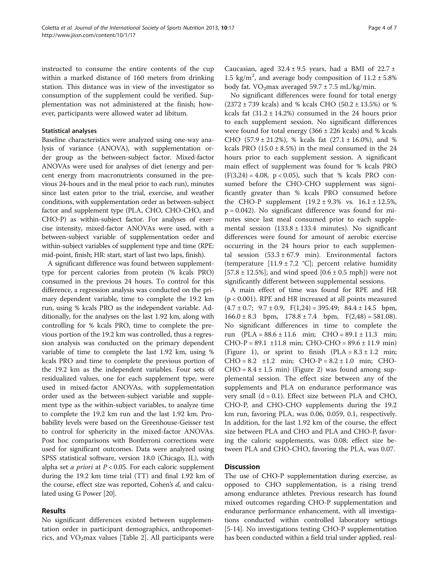instructed to consume the entire contents of the cup within a marked distance of 160 meters from drinking station. This distance was in view of the investigator so consumption of the supplement could be verified. Supplementation was not administered at the finish; however, participants were allowed water ad libitum.

#### Statistical analyses

Baseline characteristics were analyzed using one-way analysis of variance (ANOVA), with supplementation order group as the between-subject factor. Mixed-factor ANOVAs were used for analyses of diet (energy and percent energy from macronutrients consumed in the previous 24-hours and in the meal prior to each run), minutes since last eaten prior to the trial, exercise, and weather conditions, with supplementation order as between-subject factor and supplement type (PLA, CHO, CHO-CHO, and CHO-P) as within-subject factor. For analyses of exercise intensity, mixed-factor ANOVAs were used, with a between-subject variable of supplementation order and within-subject variables of supplement type and time (RPE: mid-point, finish; HR: start, start of last two laps, finish).

A significant difference was found between supplementtype for percent calories from protein (% kcals PRO) consumed in the previous 24 hours. To control for this difference, a regression analysis was conducted on the primary dependent variable, time to complete the 19.2 km run, using % kcals PRO as the independent variable. Additionally, for the analyses on the last 1.92 km, along with controlling for % kcals PRO, time to complete the previous portion of the 19.2 km was controlled, thus a regression analysis was conducted on the primary dependent variable of time to complete the last 1.92 km, using % kcals PRO and time to complete the previous portion of the 19.2 km as the independent variables. Four sets of residualized values, one for each supplement type, were used in mixed-factor ANOVAs, with supplementation order used as the between-subject variable and supplement type as the within-subject variables, to analyze time to complete the 19.2 km run and the last 1.92 km. Probability levels were based on the Greenhouse-Geisser test to control for sphericity in the mixed-factor ANOVAs. Post hoc comparisons with Bonferroni corrections were used for significant outcomes. Data were analyzed using SPSS statistical software, version 18.0 (Chicago, IL), with alpha set *a priori* at  $P < 0.05$ . For each caloric supplement during the 19.2 km time trial (TT) and final 1.92 km of the course, effect size was reported, Cohen's d, and calculated using G Power [\[20\]](#page-6-0).

## Results

No significant differences existed between supplementation order in participant demographics, anthropometrics, and  $VO<sub>2</sub>max$  values [Table [2\]](#page-4-0). All participants were

Caucasian, aged  $32.4 \pm 9.5$  years, had a BMI of  $22.7 \pm$ 1.5 kg/m<sup>2</sup>, and average body composition of  $11.2 \pm 5.8\%$ body fat.  $VO<sub>2</sub>max$  averaged  $59.7 \pm 7.5$  mL/kg/min.

No significant differences were found for total energy  $(2372 \pm 739 \text{ kcals})$  and % kcals CHO  $(50.2 \pm 13.5\%)$  or % kcals fat  $(31.2 \pm 14.2\%)$  consumed in the 24 hours prior to each supplement session. No significant differences were found for total energy  $(366 \pm 226 \text{ kcals})$  and % kcals CHO  $(57.9 \pm 21.2\%)$ , % kcals fat  $(27.1 \pm 16.0\%)$ , and % kcals PRO  $(15.0 \pm 8.5\%)$  in the meal consumed in the 24 hours prior to each supplement session. A significant main effect of supplement was found for % kcals PRO  $(F(3,24) = 4.08, p < 0.05)$ , such that % kcals PRO consumed before the CHO-CHO supplement was significantly greater than % kcals PRO consumed before the CHO-P supplement  $(19.2 \pm 9.3\% \text{ vs. } 16.1 \pm 12.5\%$ , p = 0.042). No significant difference was found for minutes since last meal consumed prior to each supplemental session  $(133.8 \pm 133.4 \text{ minutes})$ . No significant differences were found for amount of aerobic exercise occurring in the 24 hours prior to each supplemental session  $(53.3 \pm 67.9 \text{ min})$ . Environmental factors (temperature  $[11.9 \pm 7.2 \degree C]$ ; percent relative humidity  $[57.8 \pm 12.5\%]$ ; and wind speed  $[0.6 \pm 0.5 \text{ mph}]$ ) were not significantly different between supplemental sessions.

A main effect of time was found for RPE and HR (p < 0.001). RPE and HR increased at all points measured  $(4.7 \pm 0.7; 9.7 \pm 0.9, F(1,24) = 395.49; 84.4 \pm 14.5$  bpm,  $166.0 \pm 8.3$  bpm,  $178.8 \pm 7.4$  bpm,  $F(2,48) = 581.08$ . No significant differences in time to complete the run  $(PLA = 88.6 \pm 11.6 \text{ min}; \text{CHO} = 89.1 \pm 11.3 \text{ min};$  $CHO-P = 89.1 \pm 11.8 \text{ min}$ ;  $CHO-CHO = 89.6 \pm 11.9 \text{ min}$ (Figure [1](#page-4-0)), or sprint to finish  $(PLA = 8.3 \pm 1.2 \text{ min};$  $CHO = 8.2 \pm 1.2 \text{ min}; \quad CHO-P = 8.2 \pm 1.0 \text{ min}; \quad CHO-P = 8.2 \pm 1.0 \text{ min}; \quad CHO-P = 8.2 \pm 1.0 \text{ min}; \quad CHO-P = 8.2 \pm 1.0 \text{ min}; \quad CHO-P = 8.2 \pm 1.0 \text{ min}; \quad CHO-P = 8.2 \pm 1.0 \text{ min}; \quad CHO-P = 8.2 \pm 1.0 \text{ min}; \quad CHO-P = 8.2 \pm 1.0 \text{ min}; \quad CHO-P = 8.2 \pm 1.0 \text{ min}; \quad CHO-P = 8.2 \pm 1$  $CHO = 8.4 \pm 1.5$  min) (Figure [2\)](#page-5-0) was found among supplemental session. The effect size between any of the supplements and PLA on endurance performance was very small  $(d = 0.1)$ . Effect size between PLA and CHO, CHO-P, and CHO-CHO supplements during the 19.2 km run, favoring PLA, was 0.06, 0.059, 0.1, respectively. In addition, for the last 1.92 km of the course, the effect size between PLA and CHO and PLA and CHO-P, favoring the caloric supplements, was 0.08; effect size between PLA and CHO-CHO, favoring the PLA, was 0.07.

## Discussion

The use of CHO-P supplementation during exercise, as opposed to CHO supplementation, is a rising trend among endurance athletes. Previous research has found mixed outcomes regarding CHO-P supplementation and endurance performance enhancement, with all investigations conducted within controlled laboratory settings [[5-14\]](#page-6-0). No investigations testing CHO-P supplementation has been conducted within a field trial under applied, real-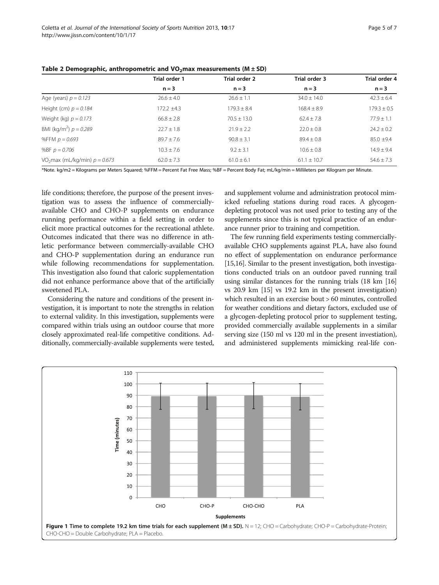|                                             | Trial order 1   | Trial order 2   | Trial order 3   | Trial order 4   |  |
|---------------------------------------------|-----------------|-----------------|-----------------|-----------------|--|
|                                             | $n = 3$         | $n = 3$         | $n = 3$         | $n = 3$         |  |
| Age (years) $p = 0.123$                     | $26.6 \pm 4.0$  | $26.6 \pm 1.1$  | $34.0 \pm 14.0$ | $42.3 \pm 6.4$  |  |
| Height (cm) $p = 0.184$                     | $172.2 \pm 4.3$ | $179.3 \pm 8.4$ | $168.4 \pm 8.9$ | $179.3 \pm 0.5$ |  |
| Weight (kg) $p = 0.173$                     | $66.8 \pm 2.8$  | $70.5 + 13.0$   | $62.4 \pm 7.8$  | $77.9 \pm 1.1$  |  |
| BMI (kg/m <sup>2</sup> ) $p = 0.289$        | $22.7 + 1.8$    | $71.9 + 7.7$    | $22.0 + 0.8$    | $74.7 + 0.7$    |  |
| %FFM $p = 0.693$                            | $89.7 + 7.6$    | $90.8 \pm 3.1$  | $89.4 \pm 0.8$  | $85.0 + 9.4$    |  |
| %BF $p = 0.706$                             | $10.3 \pm 7.6$  | $9.2 \pm 3.1$   | $10.6 \pm 0.8$  | $14.9 + 9.4$    |  |
| VO <sub>2</sub> max (mL/kg/min) $p = 0.673$ | $62.0 \pm 7.3$  | $61.0 \pm 6.1$  | $61.1 \pm 10.7$ | $54.6 \pm 7.3$  |  |

<span id="page-4-0"></span>Table 2 Demographic, anthropometric and  $VO<sub>2</sub>$ max measurements (M  $\pm$  SD)

\*Note. kg/m2 = Kilograms per Meters Squared; %FFM = Percent Fat Free Mass; %BF = Percent Body Fat; mL/kg/min = Millileters per Kilogram per Minute.

life conditions; therefore, the purpose of the present investigation was to assess the influence of commerciallyavailable CHO and CHO-P supplements on endurance running performance within a field setting in order to elicit more practical outcomes for the recreational athlete. Outcomes indicated that there was no difference in athletic performance between commercially-available CHO and CHO-P supplementation during an endurance run while following recommendations for supplementation. This investigation also found that caloric supplementation did not enhance performance above that of the artificially sweetened PLA.

Considering the nature and conditions of the present investigation, it is important to note the strengths in relation to external validity. In this investigation, supplements were compared within trials using an outdoor course that more closely approximated real-life competitive conditions. Additionally, commercially-available supplements were tested,

and supplement volume and administration protocol mimicked refueling stations during road races. A glycogendepleting protocol was not used prior to testing any of the supplements since this is not typical practice of an endurance runner prior to training and competition.

The few running field experiments testing commerciallyavailable CHO supplements against PLA, have also found no effect of supplementation on endurance performance [[15,16\]](#page-6-0). Similar to the present investigation, both investigations conducted trials on an outdoor paved running trail using similar distances for the running trials (18 km [[16](#page-6-0)] vs 20.9 km [\[15\]](#page-6-0) vs 19.2 km in the present investigation) which resulted in an exercise bout > 60 minutes, controlled for weather conditions and dietary factors, excluded use of a glycogen-depleting protocol prior to supplement testing, provided commercially available supplements in a similar serving size (150 ml vs 120 ml in the present investiation), and administered supplements mimicking real-life con-

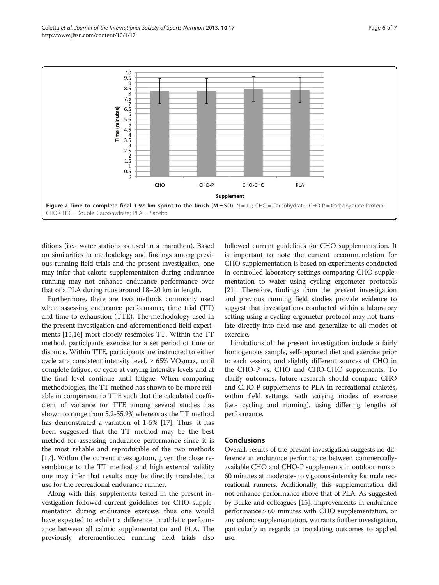<span id="page-5-0"></span>

ditions (i.e.- water stations as used in a marathon). Based on similarities in methodology and findings among previous running field trials and the present investigation, one may infer that caloric supplementaiton during endurance running may not enhance endurance performance over that of a PLA during runs around 18–20 km in length.

Furthermore, there are two methods commonly used when assessing endurance performance, time trial (TT) and time to exhaustion (TTE). The methodology used in the present investigation and aforementioned field experiments [[15,16](#page-6-0)] most closely resembles TT. Within the TT method, participants exercise for a set period of time or distance. Within TTE, participants are instructed to either cycle at a consistent intensity level,  $\geq 65\%$  VO<sub>2</sub>max, until complete fatigue, or cycle at varying intensity levels and at the final level continue until fatigue. When comparing methodologies, the TT method has shown to be more reliable in comparison to TTE such that the calculated coefficient of variance for TTE among several studies has shown to range from 5.2-55.9% whereas as the TT method has demonstrated a variation of 1-5% [\[17\]](#page-6-0). Thus, it has been suggested that the TT method may be the best method for assessing endurance performance since it is the most reliable and reproducible of the two methods [[17](#page-6-0)]. Within the current investigation, given the close resemblance to the TT method and high external validity one may infer that results may be directly translated to use for the recreational endurance runner.

Along with this, supplements tested in the present investigation followed current guidelines for CHO supplementation during endurance exercise; thus one would have expected to exhibit a difference in athletic performance between all caloric supplementation and PLA. The previously aforementioned running field trials also

followed current guidelines for CHO supplementation. It is important to note the current recommendation for CHO supplementation is based on experiments conducted in controlled laboratory settings comparing CHO supplementation to water using cycling ergometer protocols [[21](#page-6-0)]. Therefore, findings from the present investigation and previous running field studies provide evidence to suggest that investigations conducted within a laboratory setting using a cycling ergometer protocol may not translate directly into field use and generalize to all modes of exercise.

Limitations of the present investigation include a fairly homogenous sample, self-reported diet and exercise prior to each session, and slightly different sources of CHO in the CHO-P vs. CHO and CHO-CHO supplements. To clarify outcomes, future research should compare CHO and CHO-P supplements to PLA in recreational athletes, within field settings, with varying modes of exercise (i.e.- cycling and running), using differing lengths of performance.

## Conclusions

Overall, results of the present investigation suggests no difference in endurance performance between commerciallyavailable CHO and CHO-P supplements in outdoor runs > 60 minutes at moderate- to vigorous-intensity for male recreational runners. Additionally, this supplementation did not enhance performance above that of PLA. As suggested by Burke and colleagues [\[15\]](#page-6-0), improvements in endurance performance > 60 minutes with CHO supplementation, or any caloric supplementation, warrants further investigation, particularly in regards to translating outcomes to applied use.